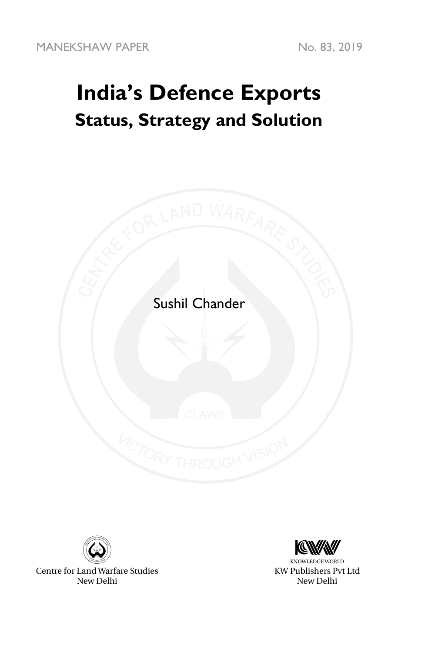# **India's Defence Exports Status, Strategy and Solution**





Centre for Land Warfare Studies New Delhi



 $N$ ODI D KW Publishers Pvt Ltd New Delhi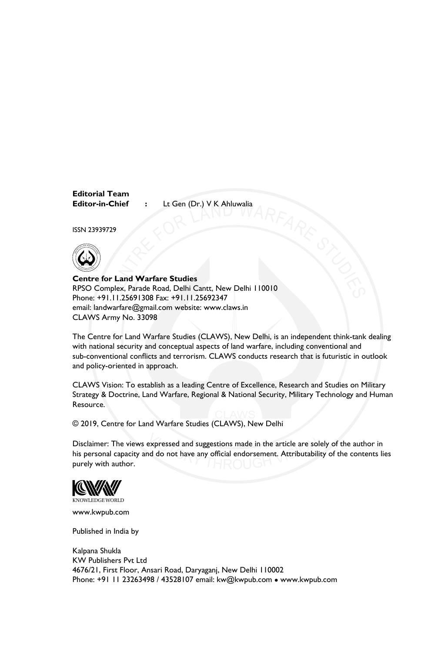**Editorial Team**

**Editor-in-Chief :** Lt Gen (Dr.) V K Ahluwalia

ISSN 23939729



**Centre for Land Warfare Studies**  RPSO Complex, Parade Road, Delhi Cantt, New Delhi 110010 Phone: +91.11.25691308 Fax: +91.11.25692347 email: landwarfare@gmail.com website: www.claws.in CLAWS Army No. 33098 Cheff : Et Gen (Dr.) V K Aniuwalia<br>
Centre for Land Warfare Studies<br>
The Land Warfare Studies<br>
Plex, Parade Road, Delhi Cantt, New Delhi I 10010<br>
LI 125491308 Fay: +91 LI 25492347

The Centre for Land Warfare Studies (CLAWS), New Delhi, is an independent think-tank dealing with national security and conceptual aspects of land warfare, including conventional and sub-conventional conflicts and terrorism. CLAWS conducts research that is futuristic in outlook and policy-oriented in approach.

CLAWS Vision: To establish as a leading Centre of Excellence, Research and Studies on Military Strategy & Doctrine, Land Warfare, Regional & National Security, Military Technology and Human Resource.

© 2019, Centre for Land Warfare Studies (CLAWS), New Delhi CLAWS

Disclaimer: The views expressed and suggestions made in the article are solely of the author in his personal capacity and do not have any official endorsement. Attributability of the contents lies purely with author. expressed and suggestions made in the article are so<br>nd do not have any official endorsement. Attributabil



www.kwpub.com

Published in India by

Kalpana Shukla KW Publishers Pvt Ltd 4676/21, First Floor, Ansari Road, Daryaganj, New Delhi 110002 Phone: +91 11 23263498 / 43528107 email: kw@kwpub.com · www.kwpub.com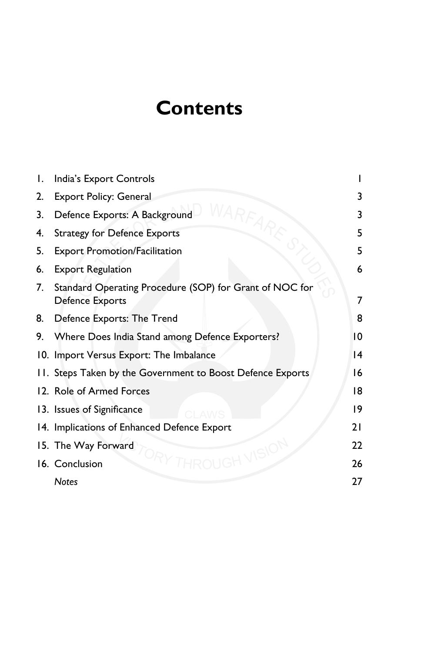# **Contents**

| Ι. | India's Export Controls                                                           |    |  |  |  |
|----|-----------------------------------------------------------------------------------|----|--|--|--|
| 2. | <b>Export Policy: General</b>                                                     | 3  |  |  |  |
| 3. | Defence Exports: A Background<br>$3F_{A,\zeta}$                                   | 3  |  |  |  |
| 4. | <b>Strategy for Defence Exports</b>                                               | 5  |  |  |  |
| 5. | <b>Export Promotion/Facilitation</b>                                              | 5  |  |  |  |
| 6. | <b>Export Regulation</b>                                                          | 6  |  |  |  |
| 7. | Standard Operating Procedure (SOP) for Grant of NOC for<br><b>Defence Exports</b> | 7  |  |  |  |
| 8. | Defence Exports: The Trend                                                        | 8  |  |  |  |
| 9. | Where Does India Stand among Defence Exporters?                                   |    |  |  |  |
|    | 10. Import Versus Export: The Imbalance                                           |    |  |  |  |
|    | 11. Steps Taken by the Government to Boost Defence Exports                        |    |  |  |  |
|    | 12. Role of Armed Forces                                                          | 18 |  |  |  |
|    | 13. Issues of Significance                                                        | 9  |  |  |  |
|    | 14. Implications of Enhanced Defence Export                                       | 21 |  |  |  |
|    | 15. The Way Forward                                                               | 22 |  |  |  |
|    | 16. Conclusion                                                                    | 26 |  |  |  |
|    | <b>Notes</b>                                                                      | 27 |  |  |  |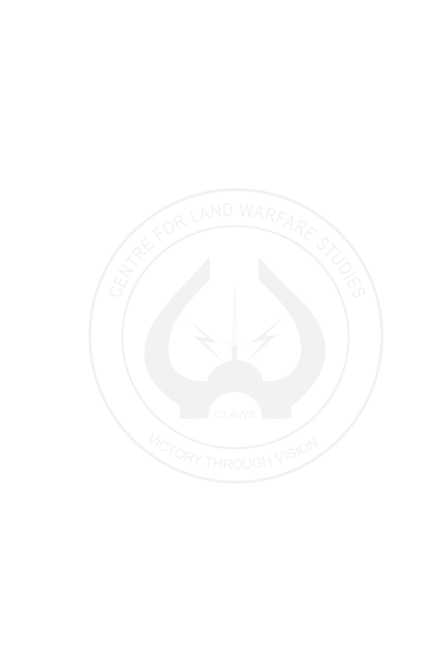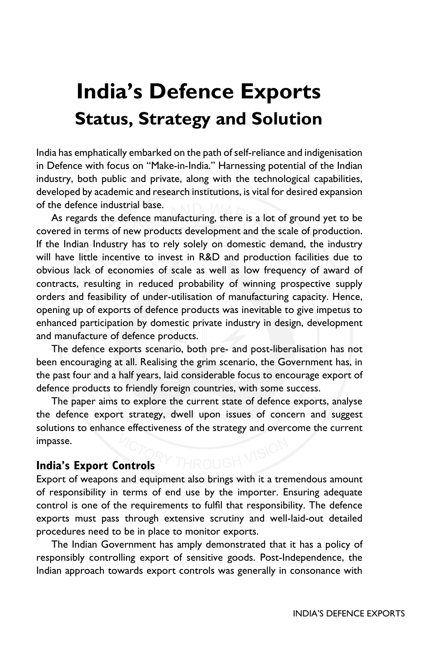# **India's Defence Exports Status, Strategy and Solution**

India has emphatically embarked on the path of self-reliance and indigenisation in Defence with focus on "Make-in-India." Harnessing potential of the Indian industry, both public and private, along with the technological capabilities, developed by academic and research institutions, is vital for desired expansion of the defence industrial base.

ence industrial base.<br>
sards the defence manufacturing, there is a lot of ground yet<br>
n terms of new products development and the scale of produ<br>
ian Industry has to rely solely on domestic demand, the in-<br>
little incentiv As regards the defence manufacturing, there is a lot of ground yet to be covered in terms of new products development and the scale of production. If the Indian Industry has to rely solely on domestic demand, the industry will have little incentive to invest in R&D and production facilities due to obvious lack of economies of scale as well as low frequency of award of contracts, resulting in reduced probability of winning prospective supply orders and feasibility of under-utilisation of manufacturing capacity. Hence, opening up of exports of defence products was inevitable to give impetus to enhanced participation by domestic private industry in design, development and manufacture of defence products.

The defence exports scenario, both pre- and post-liberalisation has not been encouraging at all. Realising the grim scenario, the Government has, in the past four and a half years, laid considerable focus to encourage export of defence products to friendly foreign countries, with some success.

VICTORY THROUGH VISION the defence export strategy, dwell upon issues of concern and suggest The paper aims to explore the current state of defence exports, analyse solutions to enhance effectiveness of the strategy and overcome the current impasse.

#### **India's Export Controls**

Export of weapons and equipment also brings with it a tremendous amount of responsibility in terms of end use by the importer. Ensuring adequate control is one of the requirements to fulfil that responsibility. The defence exports must pass through extensive scrutiny and well-laid-out detailed procedures need to be in place to monitor exports.

The Indian Government has amply demonstrated that it has a policy of responsibly controlling export of sensitive goods. Post-Independence, the Indian approach towards export controls was generally in consonance with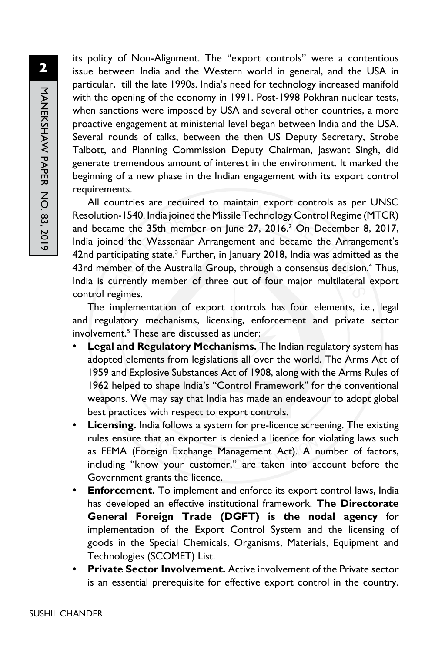its policy of Non-Alignment. The "export controls" were a contentious issue between India and the Western world in general, and the USA in particular,<sup>1</sup> till the late 1990s. India's need for technology increased manifold with the opening of the economy in 1991. Post-1998 Pokhran nuclear tests, when sanctions were imposed by USA and several other countries, a more proactive engagement at ministerial level began between India and the USA. Several rounds of talks, between the then US Deputy Secretary, Strobe Talbott, and Planning Commission Deputy Chairman, Jaswant Singh, did generate tremendous amount of interest in the environment. It marked the beginning of a new phase in the Indian engagement with its export control requirements.

An countries are required to maintain export controls as per ONSC<br>Resolution-1540. India joined the Missile Technology Control Regime (MTCR)<br>and became the 35th member on June 27, 2016.<sup>2</sup> On December 8, 2017,<br>India joined All countries are required to maintain export controls as per UNSC and became the  $35th$  member on June 27, 2016.<sup>2</sup> On December 8, 2017, India joined the Wassenaar Arrangement and became the Arrangement's 42nd participating state.<sup>3</sup> Further, in January 2018, India was admitted as the 43rd member of the Australia Group, through a consensus decision.<sup>4</sup> Thus, India is currently member of three out of four major multilateral export control regimes.

The implementation of export controls has four elements, i.e., legal and regulatory mechanisms, licensing, enforcement and private sector involvement.<sup>5</sup> These are discussed as under:

- best practices with respect to export controls. Legal and Regulatory Mechanisms. The Indian regulatory system has adopted elements from legislations all over the world. The Arms Act of 1959 and Explosive Substances Act of 1908, along with the Arms Rules of 1962 helped to shape India's "Control Framework" for the conventional weapons. We may say that India has made an endeavour to adopt global
- rules ensure that an exporter is denied a licence for violating laws such<br>as FEMA (Foreign Exchange Management Act). A number of factors,<br>including "know your customer," are taken into account before the **Licensing.** India follows a system for pre-licence screening. The existing rules ensure that an exporter is denied a licence for violating laws such as FEMA (Foreign Exchange Management Act). A number of factors, Government grants the licence.
- **• Enforcement.** To implement and enforce its export control laws, India has developed an effective institutional framework. **The Directorate General Foreign Trade (DGFT) is the nodal agency** for implementation of the Export Control System and the licensing of goods in the Special Chemicals, Organisms, Materials, Equipment and Technologies (SCOMET) List.
- **• Private Sector Involvement.** Active involvement of the Private sector is an essential prerequisite for effective export control in the country.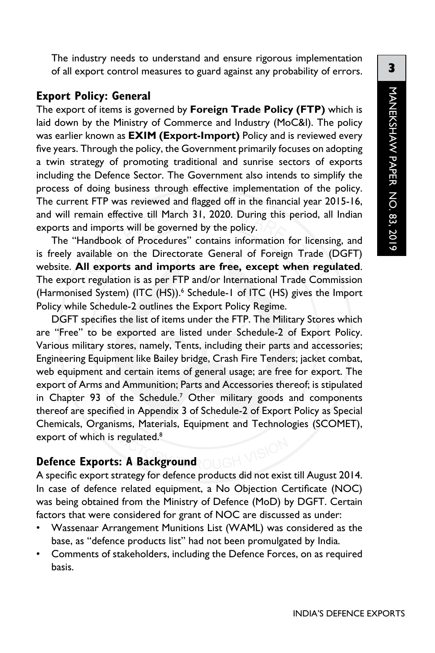The industry needs to understand and ensure rigorous implementation of all export control measures to guard against any probability of errors.

# **Export Policy: General**

The export of items is governed by **Foreign Trade Policy (FTP)** which is laid down by the Ministry of Commerce and Industry (MoC&I). The policy was earlier known as **EXIM (Export-Import)** Policy and is reviewed every five years. Through the policy, the Government primarily focuses on adopting a twin strategy of promoting traditional and sunrise sectors of exports including the Defence Sector. The Government also intends to simplify the process of doing business through effective implementation of the policy. The current FTP was reviewed and flagged off in the financial year 2015-16, exports and imports will be governed by the policy.

The carrent Firm was reviewed and nagged on in the infinitear year 2015-10,<br>and will remain effective till March 31, 2020. During this period, all Indian<br>exports and imports will be governed by the policy.<br>The "Handbook of The "Handbook of Procedures" contains information for licensing, and is freely available on the Directorate General of Foreign Trade (DGFT) website. **All exports and imports are free, except when regulated**. The export regulation is as per FTP and/or International Trade Commission (Harmonised System) (ITC (HS)).<sup>6</sup> Schedule-1 of ITC (HS) gives the Import Policy while Schedule-2 outlines the Export Policy Regime.

export of which is regulated.<sup>8</sup><br>Defence Exports: A Background thereof are specified in Appendix 3 of Schedule-2 of Export Policy as Special DGFT specifies the list of items under the FTP. The Military Stores which are "Free" to be exported are listed under Schedule-2 of Export Policy. Various military stores, namely, Tents, including their parts and accessories; Engineering Equipment like Bailey bridge, Crash Fire Tenders; jacket combat, web equipment and certain items of general usage; are free for export. The export of Arms and Ammunition; Parts and Accessories thereof; is stipulated in Chapter 93 of the Schedule.<sup>7</sup> Other military goods and components Chemicals, Organisms, Materials, Equipment and Technologies (SCOMET), export of which is regulated.<sup>8</sup>

A specific export strategy for defence products did not exist till August 2014. In case of defence related equipment, a No Objection Certificate (NOC) was being obtained from the Ministry of Defence (MoD) by DGFT. Certain factors that were considered for grant of NOC are discussed as under:

- Wassenaar Arrangement Munitions List (WAML) was considered as the base, as "defence products list" had not been promulgated by India.
- Comments of stakeholders, including the Defence Forces, on as required basis.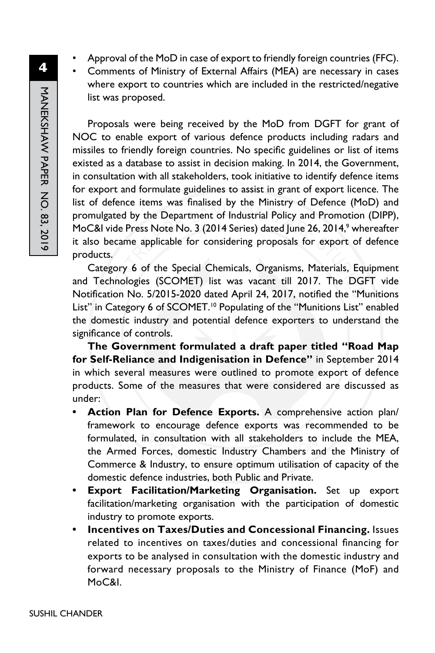- Approval of the MoD in case of export to friendly foreign countries (FFC).
- Comments of Ministry of External Affairs (MEA) are necessary in cases where export to countries which are included in the restricted/negative list was proposed.

Ist of deferre frems was imalised by the Finistry of Deferre (FIOD) and<br>promulgated by the Department of Industrial Policy and Promotion (DIPP),<br>MoC&I vide Press Note No. 3 (2014 Series) dated June 26, 2014,<sup>9</sup> whereafter<br> Proposals were being received by the MoD from DGFT for grant of NOC to enable export of various defence products including radars and missiles to friendly foreign countries. No specific guidelines or list of items existed as a database to assist in decision making. In 2014, the Government, in consultation with all stakeholders, took initiative to identify defence items for export and formulate guidelines to assist in grant of export licence. The list of defence items was finalised by the Ministry of Defence (MoD) and MoC&I vide Press Note No. 3 (2014 Series) dated June 26, 2014,<sup>9</sup> whereafter it also became applicable for considering proposals for export of defence products.

Category 6 of the Special Chemicals, Organisms, Materials, Equipment and Technologies (SCOMET) list was vacant till 2017. The DGFT vide Notification No. 5/2015-2020 dated April 24, 2017, notified the "Munitions List" in Category 6 of SCOMET.<sup>10</sup> Populating of the "Munitions List" enabled the domestic industry and potential defence exporters to understand the significance of controls.

**The Government formulated a draft paper titled "Road Map for Self-Reliance and Indigenisation in Defence"** in September 2014 in which several measures were outlined to promote export of defence products. Some of the measures that were considered are discussed as under:

- I consultation with all stakeholders to<br>orces, domestic Industry Chambers ar<br>Industry, to ensure optimum utilisation **• Action Plan for Defence Exports.** A comprehensive action plan/ framework to encourage defence exports was recommended to be formulated, in consultation with all stakeholders to include the MEA, the Armed Forces, domestic Industry Chambers and the Ministry of Commerce & Industry, to ensure optimum utilisation of capacity of the domestic defence industries, both Public and Private.
- **• Export Facilitation/Marketing Organisation.** Set up export facilitation/marketing organisation with the participation of domestic industry to promote exports.
- **• Incentives on Taxes/Duties and Concessional Financing.** Issues related to incentives on taxes/duties and concessional financing for exports to be analysed in consultation with the domestic industry and forward necessary proposals to the Ministry of Finance (MoF) and MoC&I.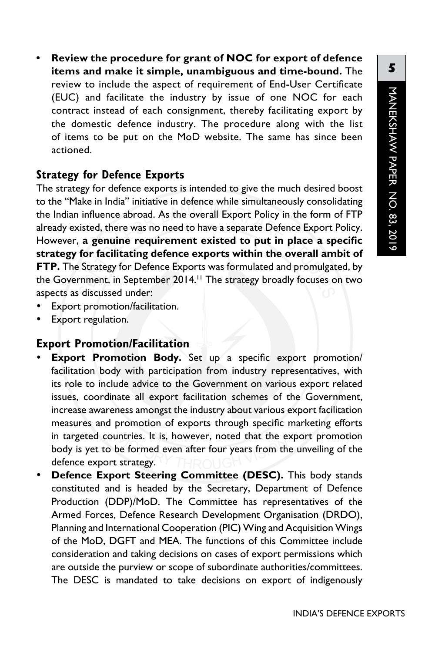**• Review the procedure for grant of NOC for export of defence items and make it simple, unambiguous and time-bound.** The review to include the aspect of requirement of End-User Certificate (EUC) and facilitate the industry by issue of one NOC for each contract instead of each consignment, thereby facilitating export by the domestic defence industry. The procedure along with the list of items to be put on the MoD website. The same has since been actioned.

# **Strategy for Defence Exports**

the Indian influence abroad. As the overall Export Policy in the form of FTP already existed, there was no need to have a separate Defence Export Policy. However, a genuine requirement existed to put in place a specific st The strategy for defence exports is intended to give the much desired boost to the "Make in India" initiative in defence while simultaneously consolidating already existed, there was no need to have a separate Defence Export Policy. However, **a genuine requirement existed to put in place a specific strategy for facilitating defence exports within the overall ambit of FTP.** The Strategy for Defence Exports was formulated and promulgated, by the Government, in September 2014.<sup>11</sup> The strategy broadly focuses on two aspects as discussed under:

- Export promotion/facilitation.
- Export regulation.

# **Export Promotion/Facilitation**

- untries. It is, however, noted that the e<br>be formed even after four years from th<br>strategy. increase awareness amongst the industry about various export facilitation<br>measures and promotion of exports through specific marketing efforts Export Promotion Body. Set up a specific export promotion/ facilitation body with participation from industry representatives, with its role to include advice to the Government on various export related issues, coordinate all export facilitation schemes of the Government, increase awareness amongst the industry about various export facilitation in targeted countries. It is, however, noted that the export promotion body is yet to be formed even after four years from the unveiling of the defence export strategy.
- **Defence Export Steering Committee (DESC).** This body stands constituted and is headed by the Secretary, Department of Defence Production (DDP)/MoD. The Committee has representatives of the Armed Forces, Defence Research Development Organisation (DRDO), Planning and International Cooperation (PIC) Wing and Acquisition Wings of the MoD, DGFT and MEA. The functions of this Committee include consideration and taking decisions on cases of export permissions which are outside the purview or scope of subordinate authorities/committees. The DESC is mandated to take decisions on export of indigenously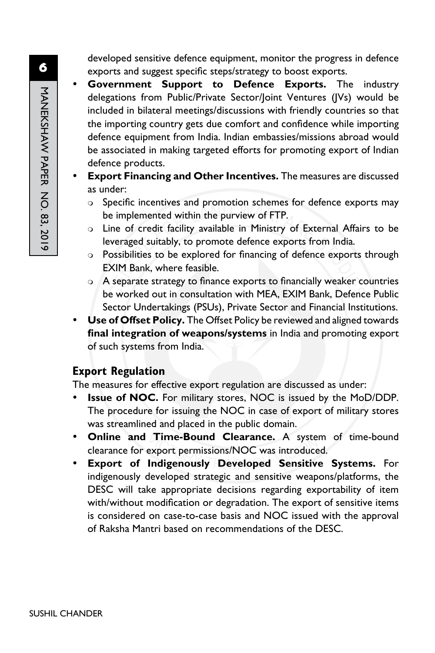developed sensitive defence equipment, monitor the progress in defence exports and suggest specific steps/strategy to boost exports.

- Government Support to Defence Exports. The industry delegations from Public/Private Sector/Joint Ventures (JVs) would be included in bilateral meetings/discussions with friendly countries so that the importing country gets due comfort and confidence while importing defence equipment from India. Indian embassies/missions abroad would be associated in making targeted efforts for promoting export of Indian defence products.
- **Export Financing and Other Incentives.** The measures are discussed as under:
	- $\circ$  Specific incentives and promotion schemes for defence exports may be implemented within the purview of FTP.
	- pecinc incentives and promotion scriemes for defence expo<br>e implemented within the purview of FTP.<br>ine of credit facility available in Ministry of External Affair.<br>everaged suitably, to promote defence exports from India.<br> o Line of credit facility available in Ministry of External Affairs to be leveraged suitably, to promote defence exports from India.
	- o Possibilities to be explored for financing of defence exports through EXIM Bank, where feasible.
	- o A separate strategy to finance exports to financially weaker countries be worked out in consultation with MEA, EXIM Bank, Defence Public Sector Undertakings (PSUs), Private Sector and Financial Institutions.
- **Use of Offset Policy.** The Offset Policy be reviewed and aligned towards **final integration of weapons/systems** in India and promoting export of such systems from India.

# **Export Regulation**

The measures for effective export regulation are discussed as under:

- The procedure for issuing the NOC in case of export of military stores **Issue of NOC.** For military stores, NOC is issued by the MoD/DDP. was streamlined and placed in the public domain.
- **Online and Time-Bound Clearance.** A system of time-bound clearance for export permissions/NOC was introduced.<br>• Export of Indigenously Developed Sensitive Systems. For **• Online and Time-Bound Clearance.** A system of time-bound clearance for export permissions/NOC was introduced.
- indigenously developed strategic and sensitive weapons/platforms, the DESC will take appropriate decisions regarding exportability of item with/without modification or degradation. The export of sensitive items is considered on case-to-case basis and NOC issued with the approval of Raksha Mantri based on recommendations of the DESC.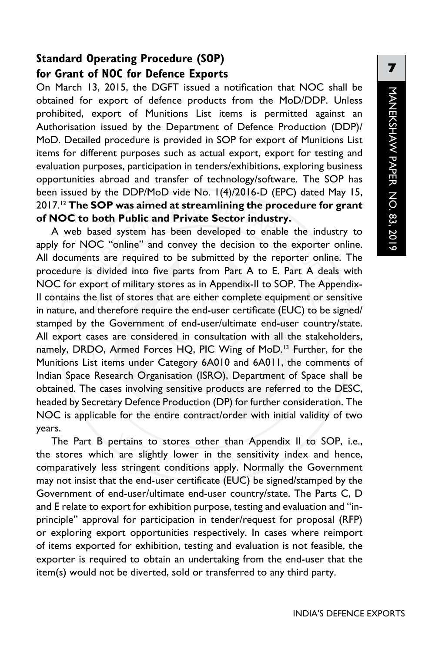# **Standard Operating Procedure (SOP) for Grant of NOC for Defence Exports**

On March 13, 2015, the DGFT issued a notification that NOC shall be obtained for export of defence products from the MoD/DDP. Unless prohibited, export of Munitions List items is permitted against an Authorisation issued by the Department of Defence Production (DDP)/ MoD. Detailed procedure is provided in SOP for export of Munitions List items for different purposes such as actual export, export for testing and evaluation purposes, participation in tenders/exhibitions, exploring business opportunities abroad and transfer of technology/software. The SOP has been issued by the DDP/MoD vide No. 1(4)/2016-D (EPC) dated May 15, 2017.12 **The SOP was aimed at streamlining the procedure for grant of NOC to both Public and Private Sector industry.**

he SOP was aimed at streamlining the procedure for to both Public and Private Sector industry.<br>
b based system has been developed to enable the industry NOC "online" and convey the decision to the exporter contents are req NOC is applicable for the entire contract/order with initial validity of two A web based system has been developed to enable the industry to apply for NOC "online" and convey the decision to the exporter online. All documents are required to be submitted by the reporter online. The procedure is divided into five parts from Part A to E. Part A deals with NOC for export of military stores as in Appendix-II to SOP. The Appendix-II contains the list of stores that are either complete equipment or sensitive in nature, and therefore require the end-user certificate (EUC) to be signed/ stamped by the Government of end-user/ultimate end-user country/state. All export cases are considered in consultation with all the stakeholders, namely, DRDO, Armed Forces HQ, PIC Wing of MoD.<sup>13</sup> Further, for the Munitions List items under Category 6A010 and 6A011, the comments of Indian Space Research Organisation (ISRO), Department of Space shall be obtained. The cases involving sensitive products are referred to the DESC, headed by Secretary Defence Production (DP) for further consideration. The years.

The Part B pertains to stores other than Appendix II to SOP, i.e., stores which are slightly lower in the sensitivity index and hence, apparatively less stringent conditions apply Normally the Government the stores which are slightly lower in the sensitivity index and hence, comparatively less stringent conditions apply. Normally the Government may not insist that the end-user certificate (EUC) be signed/stamped by the Government of end-user/ultimate end-user country/state. The Parts C, D and E relate to export for exhibition purpose, testing and evaluation and "inprinciple" approval for participation in tender/request for proposal (RFP) or exploring export opportunities respectively. In cases where reimport of items exported for exhibition, testing and evaluation is not feasible, the exporter is required to obtain an undertaking from the end-user that the item(s) would not be diverted, sold or transferred to any third party.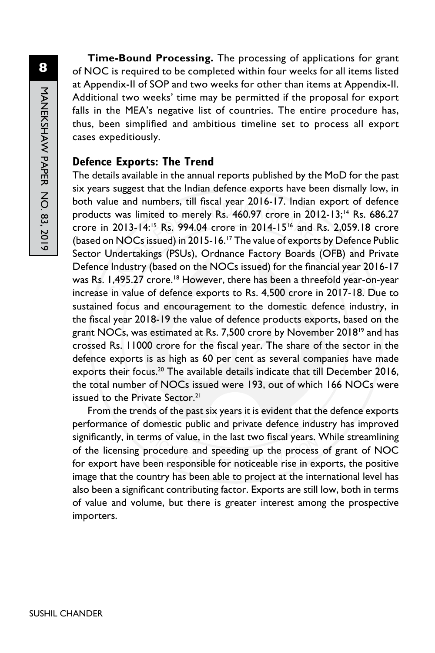**Time-Bound Processing.** The processing of applications for grant of NOC is required to be completed within four weeks for all items listed at Appendix-II of SOP and two weeks for other than items at Appendix-II. Additional two weeks' time may be permitted if the proposal for export falls in the MEA's negative list of countries. The entire procedure has, thus, been simplified and ambitious timeline set to process all export cases expeditiously.

#### **Defence Exports: The Trend**

boar value and nambers, all nsear year 2010-17: Indian export of detented<br>products was limited to merely Rs. 460.97 crore in 2012-13;<sup>14</sup> Rs. 686.27<br>crore in 2013-14:<sup>15</sup> Rs. 994.04 crore in 2014-15<sup>16</sup> and Rs. 2,059.18 cr The details available in the annual reports published by the MoD for the past six years suggest that the Indian defence exports have been dismally low, in both value and numbers, till fiscal year 2016-17. Indian export of defence crore in 2013-14:15 Rs. 994.04 crore in 2014-1516 and Rs. 2,059.18 crore (based on NOCs issued) in 2015-16.17 The value of exports by Defence Public Sector Undertakings (PSUs), Ordnance Factory Boards (OFB) and Private Defence Industry (based on the NOCs issued) for the financial year 2016-17 was Rs. 1,495.27 crore.<sup>18</sup> However, there has been a threefold year-on-year increase in value of defence exports to Rs. 4,500 crore in 2017-18. Due to sustained focus and encouragement to the domestic defence industry, in the fiscal year 2018-19 the value of defence products exports, based on the grant NOCs, was estimated at Rs. 7,500 crore by November 2018<sup>19</sup> and has crossed Rs. 11000 crore for the fiscal year. The share of the sector in the defence exports is as high as 60 per cent as several companies have made exports their focus.<sup>20</sup> The available details indicate that till December 2016, the total number of NOCs issued were 193, out of which 166 NOCs were issued to the Private Sector.<sup>21</sup>

rms of value, in the last two fiscal years.<br>procedure and speeding up the process<br>peen responsible for noticeable rise in ex From the trends of the past six years it is evident that the defence exports performance of domestic public and private defence industry has improved significantly, in terms of value, in the last two fiscal years. While streamlining of the licensing procedure and speeding up the process of grant of NOC for export have been responsible for noticeable rise in exports, the positive image that the country has been able to project at the international level has also been a significant contributing factor. Exports are still low, both in terms of value and volume, but there is greater interest among the prospective importers.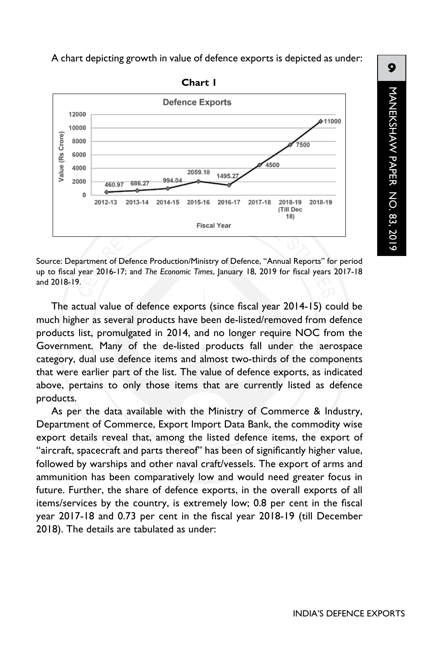A chart depicting growth in value of defence exports is depicted as under:



Source: Department of Defence Production/Ministry of Defence, "Annual Reports" for period up to fiscal year 2016-17; and *The Economic Times*, January 18, 2019 for fiscal years 2017-18 and 2018-19.

The actual value of defence exports (since fiscal year 2014-15) could be much higher as several products have been de-listed/removed from defence products list, promulgated in 2014, and no longer require NOC from the Government. Many of the de-listed products fall under the aerospace category, dual use defence items and almost two-thirds of the components that were earlier part of the list. The value of defence exports, as indicated above, pertains to only those items that are currently listed as defence products.

export details reveal that, among the listed defence items, the export of "aircraft, spacecraft and parts thereof" has been of significantly higher value,<br>followed by warships and other naval craft/vessels. The export of a As per the data available with the Ministry of Commerce & Industry, Department of Commerce, Export Import Data Bank, the commodity wise export details reveal that, among the listed defence items, the export of "aircraft, spacecraft and parts thereof" has been of significantly higher value, ammunition has been comparatively low and would need greater focus in future. Further, the share of defence exports, in the overall exports of all items/services by the country, is extremely low; 0.8 per cent in the fiscal year 2017-18 and 0.73 per cent in the fiscal year 2018-19 (till December 2018). The details are tabulated as under: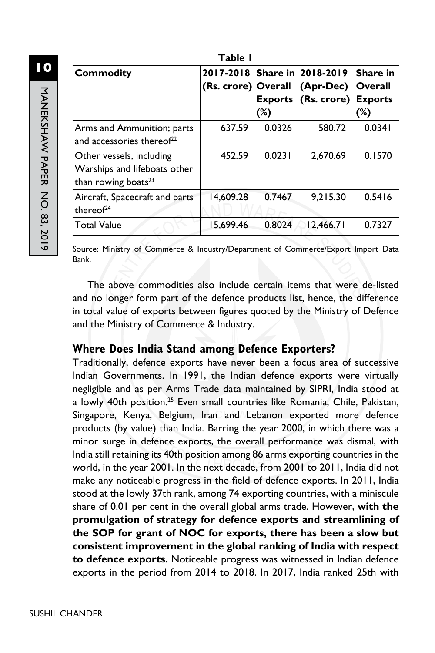| 2017-2018 |                          |                     | Share in                 |  |
|-----------|--------------------------|---------------------|--------------------------|--|
|           |                          | (Apr-Dec)           | Overall                  |  |
|           | <b>Exports</b><br>$(\%)$ | (Rs. crore)         | <b>Exports</b><br>$(\%)$ |  |
| 637.59    | 0.0326                   | 580.72              | 0.0341                   |  |
| 452.59    | 0.0231                   | 2,670.69            | 0.1570                   |  |
| 14,609.28 | 0.7467                   | 9,215.30            | 0.5416                   |  |
| 15,699.46 | 0.8024                   | 12,466.71           | 0.7327                   |  |
|           |                          | (Rs. crore) Overall | Share in 2018-2019       |  |

The above commodities also include certain items that were de-listed and no longer form part of the defence products list, hence, the difference in total value of exports between figures quoted by the Ministry of Defence and the Ministry of Commerce & Industry.

# **Where Does India Stand among Defence Exporters?**

minor surge in defence exports, the overall performance was dismal, with<br>India still retaining its 40th position among 86 arms exporting countries in the<br>world, in the vear 2001. In the next decade, from 2001 to 2011, Indi Singapore, Kenya, Belgium, Iran and Lebanon exported more defence Traditionally, defence exports have never been a focus area of successive Indian Governments. In 1991, the Indian defence exports were virtually negligible and as per Arms Trade data maintained by SIPRI, India stood at a lowly 40th position.<sup>25</sup> Even small countries like Romania, Chile, Pakistan, products (by value) than India. Barring the year 2000, in which there was a India still retaining its 40th position among 86 arms exporting countries in the world, in the year 2001. In the next decade, from 2001 to 2011, India did not make any noticeable progress in the field of defence exports. In 2011, India stood at the lowly 37th rank, among 74 exporting countries, with a miniscule share of 0.01 per cent in the overall global arms trade. However, **with the promulgation of strategy for defence exports and streamlining of the SOP for grant of NOC for exports, there has been a slow but consistent improvement in the global ranking of India with respect to defence exports.** Noticeable progress was witnessed in Indian defence exports in the period from 2014 to 2018. In 2017, India ranked 25th with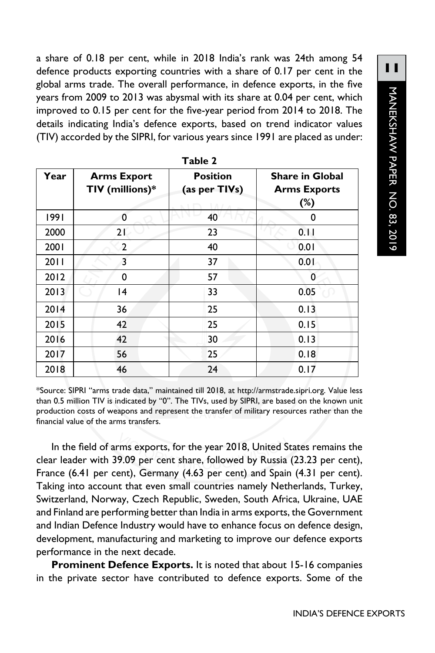a share of 0.18 per cent, while in 2018 India's rank was 24th among 54 defence products exporting countries with a share of 0.17 per cent in the global arms trade. The overall performance, in defence exports, in the five years from 2009 to 2013 was abysmal with its share at 0.04 per cent, which improved to 0.15 per cent for the five-year period from 2014 to 2018. The details indicating India's defence exports, based on trend indicator values (TIV) accorded by the SIPRI, for various years since 1991 are placed as under:

| I AVIC 4 |                                       |                                  |                                                         |  |  |  |  |
|----------|---------------------------------------|----------------------------------|---------------------------------------------------------|--|--|--|--|
| Year     | <b>Arms Export</b><br>TIV (millions)* | <b>Position</b><br>(as per TIVs) | <b>Share in Global</b><br><b>Arms Exports</b><br>$(\%)$ |  |  |  |  |
| 1991     | 0                                     | 40                               | 0                                                       |  |  |  |  |
| 2000     | 21                                    | 23                               | 0.11                                                    |  |  |  |  |
| 2001     | 2                                     | 40                               | 0.01                                                    |  |  |  |  |
| 2011     | 3                                     | 37                               | 0.01                                                    |  |  |  |  |
| 2012     | 0                                     | 57                               | 0                                                       |  |  |  |  |
| 2013     | 4                                     | 33                               | 0.05                                                    |  |  |  |  |
| 2014     | 36                                    | 25                               | 0.13                                                    |  |  |  |  |
| 2015     | 42                                    | 25                               | 0.15                                                    |  |  |  |  |
| 2016     | 42                                    | 30                               | 0.13                                                    |  |  |  |  |
| 2017     | 56                                    | 25                               | 0.18                                                    |  |  |  |  |
| 2018     | 46                                    | 24                               | 0.17                                                    |  |  |  |  |

**Table 2**

production costs of weapons and represent the transfer of military resources rather than the<br>financial value of the arms transfers \*Source: SIPRI "arms trade data," maintained till 2018, at http://armstrade.sipri.org. Value less than 0.5 million TIV is indicated by "0". The TIVs, used by SIPRI, are based on the known unit financial value of the arms transfers.

In the field of arms exports, for the year 2018, United States remains the clear leader with 39.09 per cent share, followed by Russia (23.23 per cent), In the field of arms exports, for the year 2018, United States remains the France (6.41 per cent), Germany (4.63 per cent) and Spain (4.31 per cent). Taking into account that even small countries namely Netherlands, Turkey, Switzerland, Norway, Czech Republic, Sweden, South Africa, Ukraine, UAE and Finland are performing better than India in arms exports, the Government and Indian Defence Industry would have to enhance focus on defence design, development, manufacturing and marketing to improve our defence exports performance in the next decade.

**Prominent Defence Exports.** It is noted that about 15-16 companies in the private sector have contributed to defence exports. Some of the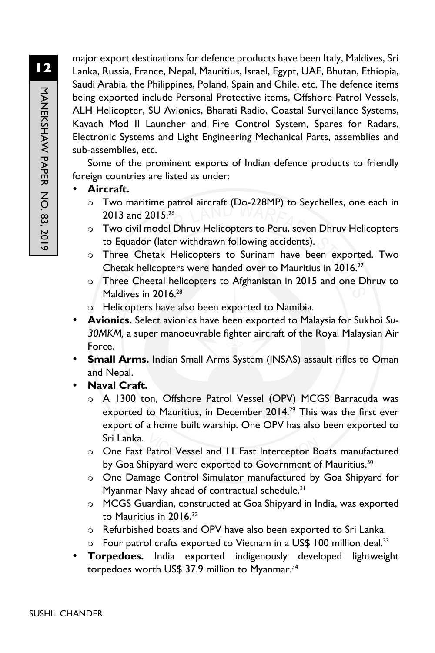major export destinations for defence products have been Italy, Maldives, Sri Lanka, Russia, France, Nepal, Mauritius, Israel, Egypt, UAE, Bhutan, Ethiopia, Saudi Arabia, the Philippines, Poland, Spain and Chile, etc. The defence items being exported include Personal Protective items, Offshore Patrol Vessels, ALH Helicopter, SU Avionics, Bharati Radio, Coastal Surveillance Systems, Kavach Mod II Launcher and Fire Control System, Spares for Radars, Electronic Systems and Light Engineering Mechanical Parts, assemblies and sub-assemblies, etc.

Some of the prominent exports of Indian defence products to friendly foreign countries are listed as under:

#### Aircraft.

- o Two maritime patrol aircraft (Do-228MP) to Seychelles, one each in 2013 and 2015.26
- wo mantime pation and att (DO-2201 ii) to Seydneiles, one<br>013 and 2015.<sup>26</sup><br>wo civil model Dhruv Helicopters to Peru, seven Dhruv Heli<br>5 Equador (later withdrawn following accidents).<br>Three Chetak Helicopters to Surinam ha o Two civil model Dhruv Helicopters to Peru, seven Dhruv Helicopters to Equador (later withdrawn following accidents).
- o Three Chetak Helicopters to Surinam have been exported. Two Chetak helicopters were handed over to Mauritius in 2016.27
- o Three Cheetal helicopters to Afghanistan in 2015 and one Dhruv to Maldives in 2016.<sup>28</sup>
- o Helicopters have also been exported to Namibia.
- y **Avionics.** Select avionics have been exported to Malaysia for Sukhoi *Su*-*30MKM,* a super manoeuvrable fighter aircraft of the Royal Malaysian Air Force.
- **Small Arms.** Indian Small Arms System (INSAS) assault rifles to Oman and Nepal.
- **•** Naval Craft.
	- exported to Mauritius, in December 2014.<sup>29</sup> This was the first ever o A 1300 ton, Offshore Patrol Vessel (OPV) MCGS Barracuda was export of a home built warship. One OPV has also been exported to Sri Lanka.
	- -<br>Patrol Vessel and 11 Fast Interceptor B<br>ipyard were exported to Government o o One Fast Patrol Vessel and 11 Fast Interceptor Boats manufactured by Goa Shipyard were exported to Government of Mauritius.<sup>30</sup>
	- o One Damage Control Simulator manufactured by Goa Shipyard for Myanmar Navy ahead of contractual schedule.<sup>31</sup>
	- o MCGS Guardian, constructed at Goa Shipyard in India, was exported to Mauritius in 2016.<sup>32</sup>
	- o Refurbished boats and OPV have also been exported to Sri Lanka.
	- $\circ$  Four patrol crafts exported to Vietnam in a US\$ 100 million deal.<sup>33</sup>
- y **Torpedoes.** India exported indigenously developed lightweight torpedoes worth US\$ 37.9 million to Myanmar.34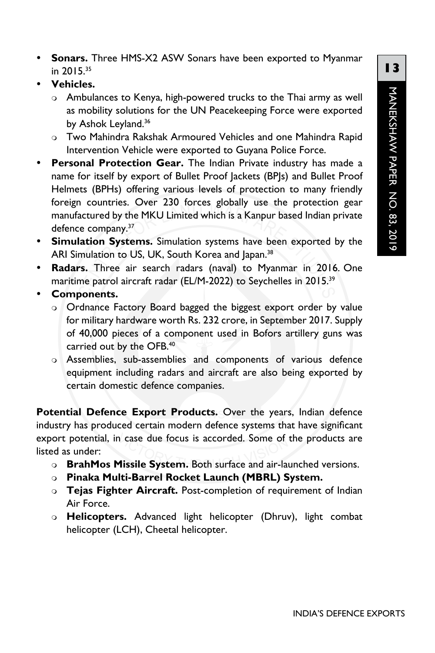- **Sonars.** Three HMS-X2 ASW Sonars have been exported to Myanmar in 2015.35
- y **Vehicles.**
	- o Ambulances to Kenya, high-powered trucks to the Thai army as well as mobility solutions for the UN Peacekeeping Force were exported by Ashok Leyland.<sup>36</sup>
	- o Two Mahindra Rakshak Armoured Vehicles and one Mahindra Rapid Intervention Vehicle were exported to Guyana Police Force.
- Treaments. Over 250 forces grobally use the protection<br>actured by the MKU Limited which is a Kanpur based Indian p<br>re company.<sup>37</sup><br>**lation Systems.** Simulation systems have been exported I<br>mulation to US, UK, South Korea a **• Personal Protection Gear.** The Indian Private industry has made a name for itself by export of Bullet Proof Jackets (BPJs) and Bullet Proof Helmets (BPHs) offering various levels of protection to many friendly foreign countries. Over 230 forces globally use the protection gear manufactured by the MKU Limited which is a Kanpur based Indian private defence company.<sup>37</sup>
- **Simulation Systems.** Simulation systems have been exported by the ARI Simulation to US, UK, South Korea and Japan.<sup>38</sup>
- Radars. Three air search radars (naval) to Myanmar in 2016. One maritime patrol aircraft radar (EL/M-2022) to Seychelles in 2015.39
- **•** Components.
	- o Ordnance Factory Board bagged the biggest export order by value for military hardware worth Rs. 232 crore, in September 2017. Supply of 40,000 pieces of a component used in Bofors artillery guns was carried out by the OFB.<sup>40</sup>
	- o Assemblies, sub-assemblies and components of various defence equipment including radars and aircraft are also being exported by certain domestic defence companies.

export potential, in case due focus is accorded. Some of the products are<br>listed as under:<br> **BrahMos Missile System.** Both surface and air-launched versions. Potential Defence Export Products. Over the years, Indian defence industry has produced certain modern defence systems that have significant listed as under:

- <sup>m</sup> **BrahMos Missile System.** Both surface and air-launched versions.
- o Pinaka Multi-Barrel Rocket Launch (MBRL) System.
- o **Tejas Fighter Aircraft.** Post-completion of requirement of Indian Air Force.
- <sup>m</sup> **Helicopters.** Advanced light helicopter (Dhruv), light combat helicopter (LCH), Cheetal helicopter.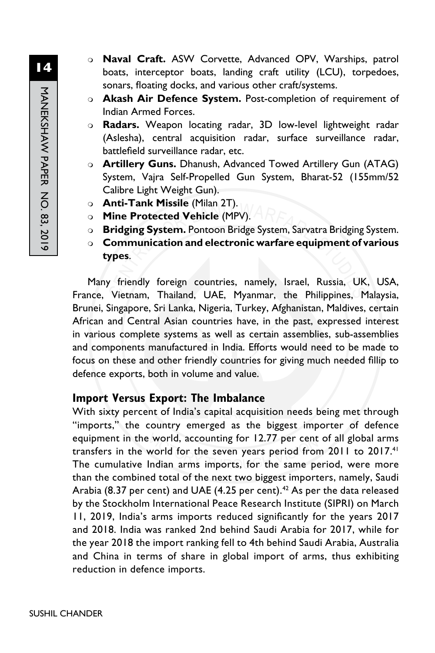- <sup>m</sup> **Naval Craft.** ASW Corvette, Advanced OPV, Warships, patrol boats, interceptor boats, landing craft utility (LCU), torpedoes, sonars, floating docks, and various other craft/systems.
- <sup>m</sup> **Akash Air Defence System.** Post-completion of requirement of Indian Armed Forces.
- <sup>m</sup> **Radars.** Weapon locating radar, 3D low-level lightweight radar (Aslesha), central acquisition radar, surface surveillance radar, battlefield surveillance radar, etc.
- <sup>m</sup> **Artillery Guns.** Dhanush, Advanced Towed Artillery Gun (ATAG) System, Vajra Self-Propelled Gun System, Bharat-52 (155mm/52 Calibre Light Weight Gun).
- <sup>m</sup> **Anti-Tank Missile** (Milan 2T).
- o **Mine Protected Vehicle (MPV).**
- <sup>m</sup> **Bridging System.** Pontoon Bridge System, Sarvatra Bridging System.
- Aline Protected Vehicle (MPV).<br>
Portected Vehicle (MPV).<br>
Stridging System. Pontoon Bridge System, Sarvatra Bridging<br>
Communication and electronic warfare equipment of v<br>
ypes.<br>
The Striendly foreign countries, namely, Isr <sup>m</sup> **Communication and electronic warfare equipment of various types**.

Many friendly foreign countries, namely, Israel, Russia, UK, USA, France, Vietnam, Thailand, UAE, Myanmar, the Philippines, Malaysia, Brunei, Singapore, Sri Lanka, Nigeria, Turkey, Afghanistan, Maldives, certain African and Central Asian countries have, in the past, expressed interest in various complete systems as well as certain assemblies, sub-assemblies and components manufactured in India. Efforts would need to be made to focus on these and other friendly countries for giving much needed fillip to defence exports, both in volume and value.

# **Import Versus Export: The Imbalance**

equipment in the world, accounting for 12.77 per cent of all global arms<br>transfers in the world for the seven years period from 2011 to 2017.<sup>41</sup><br>The cumulative Indian arms imports, for the same period, were more With sixty percent of India's capital acquisition needs being met through "imports," the country emerged as the biggest importer of defence transfers in the world for the seven years period from 2011 to 2017.<sup>41</sup> The cumulative Indian arms imports, for the same period, were more than the combined total of the next two biggest importers, namely, Saudi Arabia (8.37 per cent) and UAE (4.25 per cent).<sup>42</sup> As per the data released by the Stockholm International Peace Research Institute (SIPRI) on March 11, 2019, India's arms imports reduced significantly for the years 2017 and 2018. India was ranked 2nd behind Saudi Arabia for 2017, while for the year 2018 the import ranking fell to 4th behind Saudi Arabia, Australia and China in terms of share in global import of arms, thus exhibiting reduction in defence imports.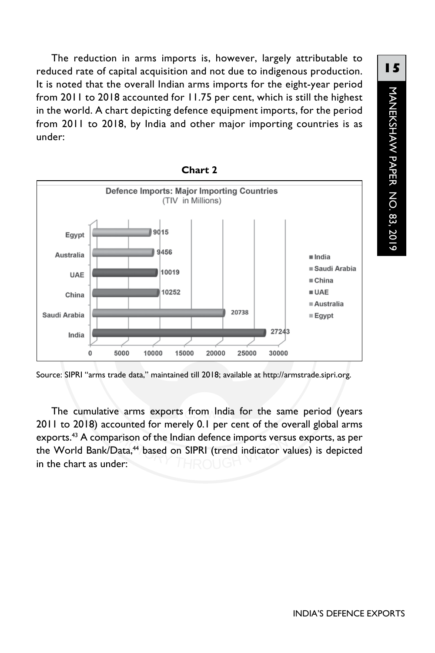The reduction in arms imports is, however, largely attributable to reduced rate of capital acquisition and not due to indigenous production. It is noted that the overall Indian arms imports for the eight-year period from 2011 to 2018 accounted for 11.75 per cent, which is still the highest in the world. A chart depicting defence equipment imports, for the period from 2011 to 2018, by India and other major importing countries is as under:



Source: SIPRI "arms trade data," maintained till 2018; available at http://armstrade.sipri.org.

irison of the Indian defence imports versi<br>Pata,<sup>44</sup> based on SIPRI (trend indicator vier: The cumulative arms exports from India for the same period (years 2011 to 2018) accounted for merely 0.1 per cent of the overall global arms exports.43 A comparison of the Indian defence imports versus exports, as per the World Bank/Data,<sup>44</sup> based on SIPRI (trend indicator values) is depicted in the chart as under: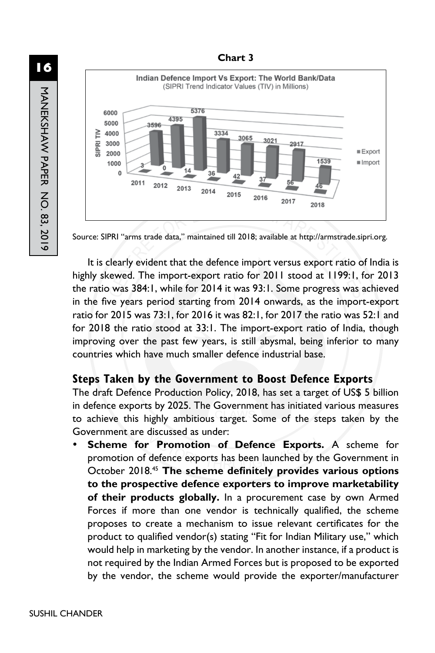**16**MANEKSHAW PAPER NO. 83, 2019 MANEKSHAW PAPER No. 83, 2019



Source: SIPRI "arms trade data," maintained till 2018; available at http://armstrade.sipri.org.

2018<br>
Source: SIPRI "arms trade data," maintained till 2018; available at http://armstrade.sipri.org.<br>
It is clearly evident that the defence import versus export ratio of India is<br>
highly skewed. The import-export ratio f It is clearly evident that the defence import versus export ratio of India is highly skewed. The import-export ratio for 2011 stood at 1199:1, for 2013 in the five years period starting from 2014 onwards, as the import-export ratio for 2015 was 73:1, for 2016 it was 82:1, for 2017 the ratio was 52:1 and for 2018 the ratio stood at 33:1. The import-export ratio of India, though improving over the past few years, is still abysmal, being inferior to many countries which have much smaller defence industrial base.

# **Steps Taken by the Government to Boost Defence Exports**

to achieve this highly ambitious target. Some of the steps taken by the The draft Defence Production Policy, 2018, has set a target of US\$ 5 billion in defence exports by 2025. The Government has initiated various measures Government are discussed as under:

• **Scheme for Promotion of Defence Exports.** A scheme for promotion of defence exports has been launched by the Government in promotion of defence exports has been launched by the Government in October 2018.45 **The scheme definitely provides various options to the prospective defence exporters to improve marketability of their products globally.** In a procurement case by own Armed Forces if more than one vendor is technically qualified, the scheme proposes to create a mechanism to issue relevant certificates for the product to qualified vendor(s) stating "Fit for Indian Military use," which would help in marketing by the vendor. In another instance, if a product is not required by the Indian Armed Forces but is proposed to be exported by the vendor, the scheme would provide the exporter/manufacturer

#### **Chart 3**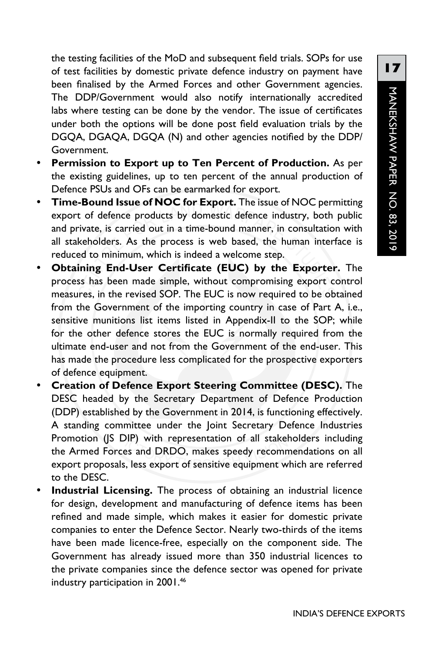the testing facilities of the MoD and subsequent field trials. SOPs for use of test facilities by domestic private defence industry on payment have been finalised by the Armed Forces and other Government agencies. The DDP/Government would also notify internationally accredited labs where testing can be done by the vendor. The issue of certificates under both the options will be done post field evaluation trials by the DGQA, DGAQA, DGQA (N) and other agencies notified by the DDP/ Government.

- **Permission to Export up to Ten Percent of Production.** As per the existing guidelines, up to ten percent of the annual production of Defence PSUs and OFs can be earmarked for export.
- **Example 3 State of NCC for Export.** The issue of NCC perfit of defence products by domestic defence industry, both ivate, is carried out in a time-bound manner, in consultation keholders. As the process is web based, the **Time-Bound Issue of NOC for Export.** The issue of NOC permitting export of defence products by domestic defence industry, both public and private, is carried out in a time-bound manner, in consultation with all stakeholders. As the process is web based, the human interface is reduced to minimum, which is indeed a welcome step.
- y **Obtaining End-User Certificate (EUC) by the Exporter.** The process has been made simple, without compromising export control measures, in the revised SOP. The EUC is now required to be obtained from the Government of the importing country in case of Part A, i.e., sensitive munitions list items listed in Appendix-II to the SOP; while for the other defence stores the EUC is normally required from the ultimate end-user and not from the Government of the end-user. This has made the procedure less complicated for the prospective exporters of defence equipment.
- Promotion (JS DIP) with representation of all stakeholders including<br>the Armed Forces and DRDO, makes speedy recommendations on all<br>export proposals, less export of sensitive equipment which are referred (DDP) established by the Government in 2014, is functioning effectively. **• Creation of Defence Export Steering Committee (DESC).** The DESC headed by the Secretary Department of Defence Production A standing committee under the Joint Secretary Defence Industries Promotion (JS DIP) with representation of all stakeholders including the Armed Forces and DRDO, makes speedy recommendations on all to the DESC.
- Industrial Licensing. The process of obtaining an industrial licence for design, development and manufacturing of defence items has been refined and made simple, which makes it easier for domestic private companies to enter the Defence Sector. Nearly two-thirds of the items have been made licence-free, especially on the component side. The Government has already issued more than 350 industrial licences to the private companies since the defence sector was opened for private industry participation in 2001.<sup>46</sup>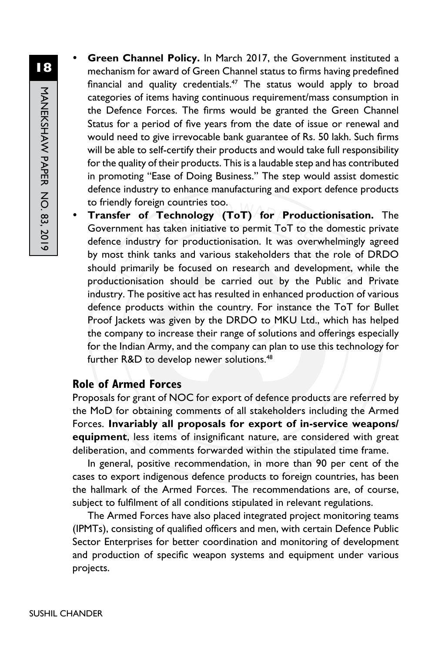- **Green Channel Policy.** In March 2017, the Government instituted a mechanism for award of Green Channel status to firms having predefined financial and quality credentials.<sup>47</sup> The status would apply to broad categories of items having continuous requirement/mass consumption in the Defence Forces. The firms would be granted the Green Channel Status for a period of five years from the date of issue or renewal and would need to give irrevocable bank guarantee of Rs. 50 lakh. Such firms will be able to self-certify their products and would take full responsibility for the quality of their products. This is a laudable step and has contributed in promoting "Ease of Doing Business." The step would assist domestic defence industry to enhance manufacturing and export defence products to friendly foreign countries too.
	- enally foreign countries too.<br>
	Insfer of Technology (ToT) for Productionisation<br>
	Fernment has taken initiative to permit ToT to the domestic<br>
	nost think tanks and various stakeholders that the role of<br>
	Id primarily be focu y **Transfer of Technology (ToT) for Productionisation.** The Government has taken initiative to permit ToT to the domestic private defence industry for productionisation. It was overwhelmingly agreed by most think tanks and various stakeholders that the role of DRDO should primarily be focused on research and development, while the productionisation should be carried out by the Public and Private industry. The positive act has resulted in enhanced production of various defence products within the country. For instance the ToT for Bullet Proof Jackets was given by the DRDO to MKU Ltd., which has helped the company to increase their range of solutions and offerings especially for the Indian Army, and the company can plan to use this technology for further R&D to develop newer solutions.<sup>48</sup>

# **Role of Armed Forces**

equipment, less items of insignificant nature, are considered with great deliberation, and comments forwarded within the stipulated time frame.<br>In general, positive recommendation, in more than 90 per cent of the the MoD for obtaining comments of all stakeholders including the Armed Proposals for grant of NOC for export of defence products are referred by Forces. **Invariably all proposals for export of in-service weapons/** deliberation, and comments forwarded within the stipulated time frame.

In general, positive recommendation, in more than 90 per cent of the cases to export indigenous defence products to foreign countries, has been the hallmark of the Armed Forces. The recommendations are, of course, subject to fulfilment of all conditions stipulated in relevant regulations.

The Armed Forces have also placed integrated project monitoring teams (IPMTs), consisting of qualified officers and men, with certain Defence Public Sector Enterprises for better coordination and monitoring of development and production of specific weapon systems and equipment under various projects.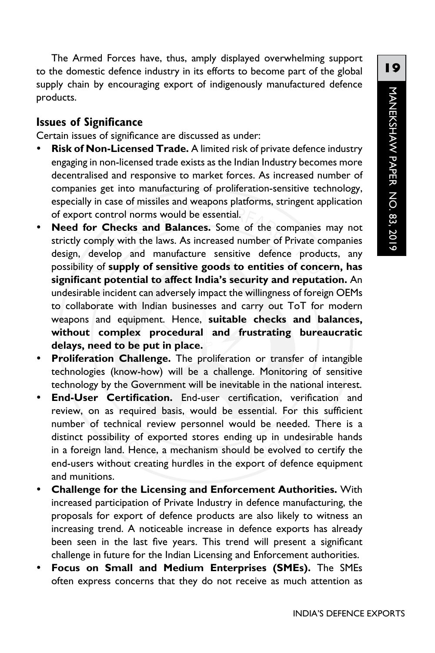The Armed Forces have, thus, amply displayed overwhelming support to the domestic defence industry in its efforts to become part of the global supply chain by encouraging export of indigenously manufactured defence products.

### **Issues of Significance**

Certain issues of significance are discussed as under:

- Risk of Non-Licensed Trade. A limited risk of private defence industry engaging in non-licensed trade exists as the Indian Industry becomes more decentralised and responsive to market forces. As increased number of companies get into manufacturing of proliferation-sensitive technology, especially in case of missiles and weapons platforms, stringent application of export control norms would be essential.
- any in case or inissies and weapons platforms, stangent applied ontrol norms would be essential.<br> **for Checks and Balances.** Some of the companies may comply with the laws. As increased number of Private com<br>
, develop and **• Need for Checks and Balances.** Some of the companies may not strictly comply with the laws. As increased number of Private companies design, develop and manufacture sensitive defence products, any possibility of **supply of sensitive goods to entities of concern, has significant potential to affect India's security and reputation.** An undesirable incident can adversely impact the willingness of foreign OEMs to collaborate with Indian businesses and carry out ToT for modern weapons and equipment. Hence, **suitable checks and balances, without complex procedural and frustrating bureaucratic delays, need to be put in place.**
- **Proliferation Challenge.** The proliferation or transfer of intangible technologies (know-how) will be a challenge. Monitoring of sensitive technology by the Government will be inevitable in the national interest.
- lity of exported stores ending up in u<br>d. Hence, a mechanism should be evoly<br>out creating hurdles in the export of de review, on as required basis, would be essential. For this sufficient y **End-User Certification.** End-user certification, verification and number of technical review personnel would be needed. There is a distinct possibility of exported stores ending up in undesirable hands in a foreign land. Hence, a mechanism should be evolved to certify the end-users without creating hurdles in the export of defence equipment and munitions.
- **Challenge for the Licensing and Enforcement Authorities.** With increased participation of Private Industry in defence manufacturing, the proposals for export of defence products are also likely to witness an increasing trend. A noticeable increase in defence exports has already been seen in the last five years. This trend will present a significant challenge in future for the Indian Licensing and Enforcement authorities.
- **Focus on Small and Medium Enterprises (SMEs).** The SMEs often express concerns that they do not receive as much attention as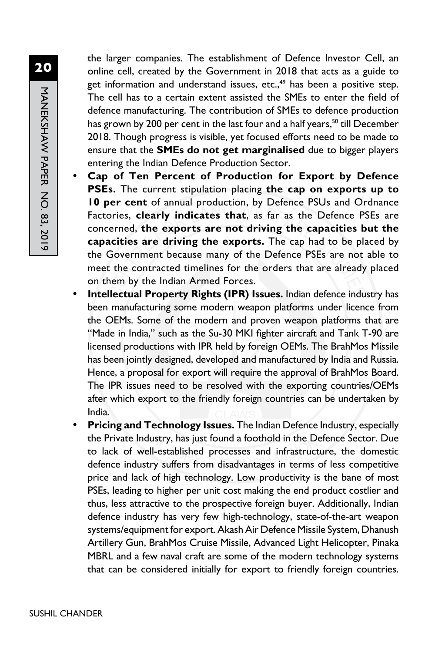the larger companies. The establishment of Defence Investor Cell, an online cell, created by the Government in 2018 that acts as a guide to get information and understand issues, etc.,<sup>49</sup> has been a positive step. The cell has to a certain extent assisted the SMEs to enter the field of defence manufacturing. The contribution of SMEs to defence production has grown by 200 per cent in the last four and a half years,<sup>50</sup> till December 2018. Though progress is visible, yet focused efforts need to be made to ensure that the **SMEs do not get marginalised** due to bigger players entering the Indian Defence Production Sector.

- ories, **clearly indicates that**, as far as the Defence Py<br>cerned, the exports are not driving the capacities b<br>acities are driving the exports. The cap had to be pla<br>Government because many of the Defence PSEs are not<br>t th Cap of Ten Percent of Production for Export by Defence **PSEs.** The current stipulation placing **the cap on exports up to 10 per cent** of annual production, by Defence PSUs and Ordnance Factories, **clearly indicates that**, as far as the Defence PSEs are concerned, **the exports are not driving the capacities but the capacities are driving the exports.** The cap had to be placed by the Government because many of the Defence PSEs are not able to meet the contracted timelines for the orders that are already placed on them by the Indian Armed Forces.
- **CLAWS Intellectual Property Rights (IPR) Issues.** Indian defence industry has been manufacturing some modern weapon platforms under licence from the OEMs. Some of the modern and proven weapon platforms that are "Made in India," such as the Su-30 MKI fighter aircraft and Tank T-90 are licensed productions with IPR held by foreign OEMs. The BrahMos Missile has been jointly designed, developed and manufactured by India and Russia. Hence, a proposal for export will require the approval of BrahMos Board. The IPR issues need to be resolved with the exporting countries/OEMs after which export to the friendly foreign countries can be undertaken by India.
- the Private Industry, has just found a foothold in the Defence Sector. Due<br>to lack of well-established processes and infrastructure, the domestic<br>defence industry suffers from disadvantages in terms of less competitive **• Pricing and Technology Issues.** The Indian Defence Industry, especially to lack of well-established processes and infrastructure, the domestic defence industry suffers from disadvantages in terms of less competitive price and lack of high technology. Low productivity is the bane of most PSEs, leading to higher per unit cost making the end product costlier and thus, less attractive to the prospective foreign buyer. Additionally, Indian defence industry has very few high-technology, state-of-the-art weapon systems/equipment for export. Akash Air Defence Missile System, Dhanush Artillery Gun, BrahMos Cruise Missile, Advanced Light Helicopter, Pinaka MBRL and a few naval craft are some of the modern technology systems that can be considered initially for export to friendly foreign countries.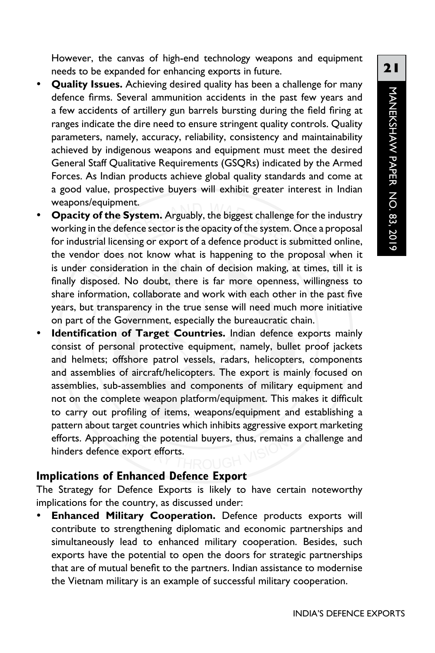However, the canvas of high-end technology weapons and equipment needs to be expanded for enhancing exports in future.

- **Quality Issues.** Achieving desired quality has been a challenge for many defence firms. Several ammunition accidents in the past few years and a few accidents of artillery gun barrels bursting during the field firing at ranges indicate the dire need to ensure stringent quality controls. Quality parameters, namely, accuracy, reliability, consistency and maintainability achieved by indigenous weapons and equipment must meet the desired General Staff Qualitative Requirements (GSQRs) indicated by the Armed Forces. As Indian products achieve global quality standards and come at a good value, prospective buyers will exhibit greater interest in Indian weapons/equipment.
- ity of the System. Arguably, the biggest challenge for the ind<br>ity of the System. Arguably, the biggest challenge for the ind<br>may in the defence sector is the opacity of the system. Once a pro-<br>dustrial licensing or export **Opacity of the System.** Arguably, the biggest challenge for the industry working in the defence sector is the opacity of the system. Once a proposal for industrial licensing or export of a defence product is submitted online, the vendor does not know what is happening to the proposal when it is under consideration in the chain of decision making, at times, till it is finally disposed. No doubt, there is far more openness, willingness to share information, collaborate and work with each other in the past five years, but transparency in the true sense will need much more initiative on part of the Government, especially the bureaucratic chain.
- efforts. Approaching the potential buyers, thus, remains a challenge and<br>hinders defence export efforts. to carry out profiling of items, weapons/equipment and establishing a **• Identification of Target Countries.** Indian defence exports mainly consist of personal protective equipment, namely, bullet proof jackets and helmets; offshore patrol vessels, radars, helicopters, components and assemblies of aircraft/helicopters. The export is mainly focused on assemblies, sub-assemblies and components of military equipment and not on the complete weapon platform/equipment. This makes it difficult pattern about target countries which inhibits aggressive export marketing hinders defence export efforts.

# **Implications of Enhanced Defence Export**

The Strategy for Defence Exports is likely to have certain noteworthy implications for the country, as discussed under:

**Enhanced Military Cooperation.** Defence products exports will contribute to strengthening diplomatic and economic partnerships and simultaneously lead to enhanced military cooperation. Besides, such exports have the potential to open the doors for strategic partnerships that are of mutual benefit to the partners. Indian assistance to modernise the Vietnam military is an example of successful military cooperation.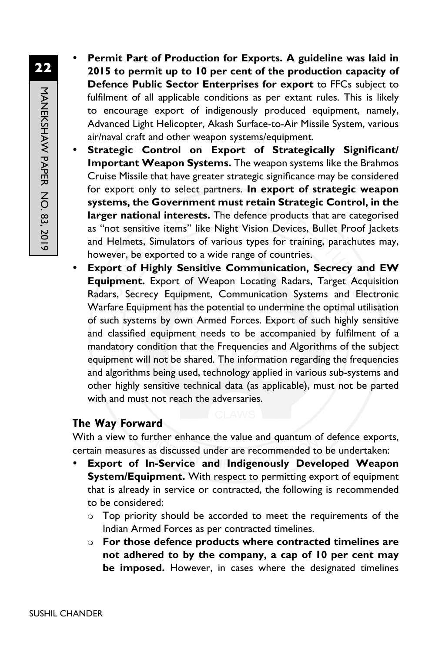- y **Permit Part of Production for Exports. A guideline was laid in 2015 to permit up to 10 per cent of the production capacity of Defence Public Sector Enterprises for export** to FFCs subject to fulfilment of all applicable conditions as per extant rules. This is likely to encourage export of indigenously produced equipment, namely, Advanced Light Helicopter, Akash Surface-to-Air Missile System, various air/naval craft and other weapon systems/equipment.
- Systems, the Government must retain Strategic Contron, in the<br>larger national interests. The defence products that are categorised<br>as "not sensitive items" like Night Vision Devices, Bullet Proof Jackets<br>and Helmets, Simul y **Strategic Control on Export of Strategically Significant/ Important Weapon Systems.** The weapon systems like the Brahmos Cruise Missile that have greater strategic significance may be considered for export only to select partners. **In export of strategic weapon systems, the Government must retain Strategic Control, in the larger national interests.** The defence products that are categorised as "not sensitive items" like Night Vision Devices, Bullet Proof Jackets and Helmets, Simulators of various types for training, parachutes may, however, be exported to a wide range of countries.
- **Export of Highly Sensitive Communication, Secrecy and EW Equipment.** Export of Weapon Locating Radars, Target Acquisition Warfare Equipment has the potential to undermine the optimal utilisation of such systems by own Armed Forces. Export of such highly sensitive and classified equipment needs to be accompanied by fulfilment of a mandatory condition that the Frequencies and Algorithms of the subject equipment will not be shared. The information regarding the frequencies and algorithms being used, technology applied in various sub-systems and other highly sensitive technical data (as applicable), must not be parted with and must not reach the adversaries.

# **The Way Forward**

With a view to further enhance the value and quantum of defence exports,<br>certain measures as discussed under are recommended to be undertaken:<br>• Ex<mark>port of In-Service and Indigenously Developed Weapon</mark> With a view to further enhance the value and quantum of defence exports, certain measures as discussed under are recommended to be undertaken:

- **System/Equipment.** With respect to permitting export of equipment that is already in service or contracted, the following is recommended to be considered:
	- $\circ$  Top priority should be accorded to meet the requirements of the Indian Armed Forces as per contracted timelines.
	- <sup>m</sup> **For those defence products where contracted timelines are not adhered to by the company, a cap of 10 per cent may be imposed.** However, in cases where the designated timelines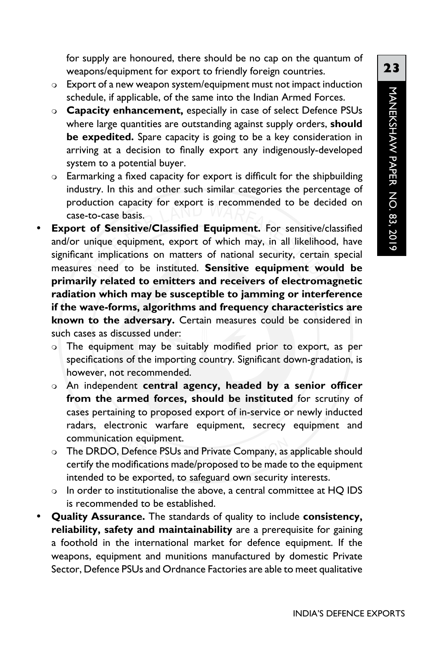for supply are honoured, there should be no cap on the quantum of weapons/equipment for export to friendly foreign countries.

- $\circ$  Export of a new weapon system/equipment must not impact induction schedule, if applicable, of the same into the Indian Armed Forces.
- <sup>m</sup> **Capacity enhancement,** especially in case of select Defence PSUs where large quantities are outstanding against supply orders, **should be expedited.** Spare capacity is going to be a key consideration in arriving at a decision to finally export any indigenously-developed system to a potential buyer.
- $\circ$  Earmarking a fixed capacity for export is difficult for the shipbuilding industry. In this and other such similar categories the percentage of production capacity for export is recommended to be decided on case-to-case basis.
- production capacity for export is recommended to be decided on<br>case-to-case basis.<br>**Export of Sensitive/Classified Equipment.** For sensitive/classified<br>and/or unique equipment, export of which may, in all likelihood, have<br> y **Export of Sensitive/Classified Equipment.** For sensitive/classified and/or unique equipment, export of which may, in all likelihood, have significant implications on matters of national security, certain special measures need to be instituted. **Sensitive equipment would be primarily related to emitters and receivers of electromagnetic if the wave-forms, algorithms and frequency characteristics are known to the adversary.** Certain measures could be considered in such cases as discussed under:
	- o The equipment may be suitably modified prior to export, as per specifications of the importing country. Significant down-gradation, is however, not recommended.
	- cases pertaining to proposed export of in-service or newly inducted <sup>m</sup> An independent **central agency, headed by a senior officer from the armed forces, should be instituted** for scrutiny of radars, electronic warfare equipment, secrecy equipment and communication equipment.
	- tion equipment.<br>, Defence PSUs and Private Company, as<br>nodifications made/proposed to be made o The DRDO, Defence PSUs and Private Company, as applicable should certify the modifications made/proposed to be made to the equipment intended to be exported, to safeguard own security interests.
	- o In order to institutionalise the above, a central committee at HQ IDS is recommended to be established.
- y **Quality Assurance.** The standards of quality to include **consistency, reliability, safety and maintainability** are a prerequisite for gaining a foothold in the international market for defence equipment. If the weapons, equipment and munitions manufactured by domestic Private Sector, Defence PSUs and Ordnance Factories are able to meet qualitative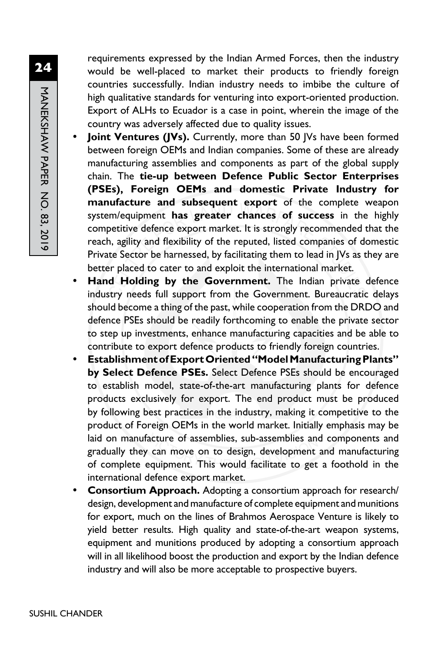requirements expressed by the Indian Armed Forces, then the industry would be well-placed to market their products to friendly foreign countries successfully. Indian industry needs to imbibe the culture of high qualitative standards for venturing into export-oriented production. Export of ALHs to Ecuador is a case in point, wherein the image of the country was adversely affected due to quality issues.

- manuacture and subsequent export of the complete weapon<br>system/equipment **has greater chances of success** in the highly<br>competitive defence export market. It is strongly recommended that the<br>reach, agility and flexibility Joint Ventures (JVs). Currently, more than 50 JVs have been formed between foreign OEMs and Indian companies. Some of these are already manufacturing assemblies and components as part of the global supply chain. The **tie-up between Defence Public Sector Enterprises (PSEs), Foreign OEMs and domestic Private Industry for manufacture and subsequent export** of the complete weapon competitive defence export market. It is strongly recommended that the reach, agility and flexibility of the reputed, listed companies of domestic Private Sector be harnessed, by facilitating them to lead in JVs as they are better placed to cater to and exploit the international market.
- Hand Holding by the Government. The Indian private defence industry needs full support from the Government. Bureaucratic delays should become a thing of the past, while cooperation from the DRDO and defence PSEs should be readily forthcoming to enable the private sector to step up investments, enhance manufacturing capacities and be able to contribute to export defence products to friendly foreign countries.
- laid on manufacture of assemblies, sub-assemblies and components and<br>gradually they can move on to design, development and manufacturing<br>of complete equipment. This would facilitate to get a foothold in the by following best practices in the industry, making it competitive to the **Establishment of Export Oriented "Model Manufacturing Plants" by Select Defence PSEs.** Select Defence PSEs should be encouraged to establish model, state-of-the-art manufacturing plants for defence products exclusively for export. The end product must be produced product of Foreign OEMs in the world market. Initially emphasis may be laid on manufacture of assemblies, sub-assemblies and components and gradually they can move on to design, development and manufacturing international defence export market.
- **Consortium Approach.** Adopting a consortium approach for research/ design, development and manufacture of complete equipment and munitions for export, much on the lines of Brahmos Aerospace Venture is likely to yield better results. High quality and state-of-the-art weapon systems, equipment and munitions produced by adopting a consortium approach will in all likelihood boost the production and export by the Indian defence industry and will also be more acceptable to prospective buyers.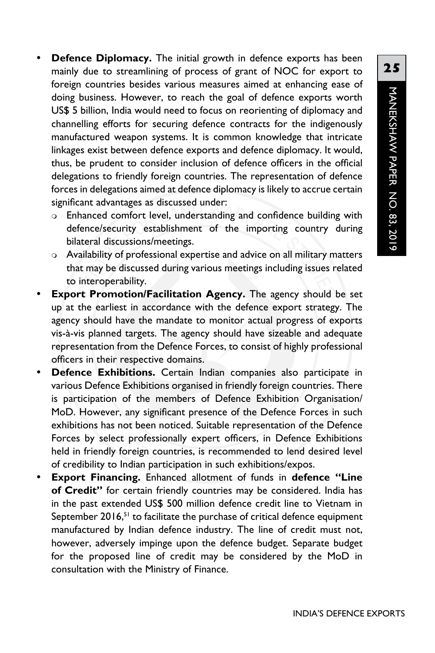- **Defence Diplomacy.** The initial growth in defence exports has been mainly due to streamlining of process of grant of NOC for export to foreign countries besides various measures aimed at enhancing ease of doing business. However, to reach the goal of defence exports worth US\$ 5 billion, India would need to focus on reorienting of diplomacy and channelling efforts for securing defence contracts for the indigenously manufactured weapon systems. It is common knowledge that intricate linkages exist between defence exports and defence diplomacy. It would, thus, be prudent to consider inclusion of defence officers in the official delegations to friendly foreign countries. The representation of defence forces in delegations aimed at defence diplomacy is likely to accrue certain significant advantages as discussed under:
	- Eant advantages as discussed under.<br>
	hanced comfort level, understanding and confidence building<br>
	fence/security establishment of the importing country<br>
	interal discussions/meetings.<br>
	
	ailability of professional expertise o Enhanced comfort level, understanding and confidence building with defence/security establishment of the importing country during bilateral discussions/meetings.
	- o Availability of professional expertise and advice on all military matters that may be discussed during various meetings including issues related to interoperability.
- **Export Promotion/Facilitation Agency.** The agency should be set up at the earliest in accordance with the defence export strategy. The agency should have the mandate to monitor actual progress of exports vis-à-vis planned targets. The agency should have sizeable and adequate representation from the Defence Forces, to consist of highly professional officers in their respective domains.
- Forces by select professionally expert officers, in Defence Exhibitions<br>held in friendly foreign countries, is recommended to lend desired level<br>of credibility to Indian participation in such exhibitions/expos. MoD. However, any significant presence of the Defence Forces in such **Defence Exhibitions.** Certain Indian companies also participate in various Defence Exhibitions organised in friendly foreign countries. There is participation of the members of Defence Exhibition Organisation/ exhibitions has not been noticed. Suitable representation of the Defence held in friendly foreign countries, is recommended to lend desired level of credibility to Indian participation in such exhibitions/expos.
- y **Export Financing.** Enhanced allotment of funds in **defence "Line of Credit"** for certain friendly countries may be considered. India has in the past extended US\$ 500 million defence credit line to Vietnam in September 2016,<sup>51</sup> to facilitate the purchase of critical defence equipment manufactured by Indian defence industry. The line of credit must not, however, adversely impinge upon the defence budget. Separate budget for the proposed line of credit may be considered by the MoD in consultation with the Ministry of Finance.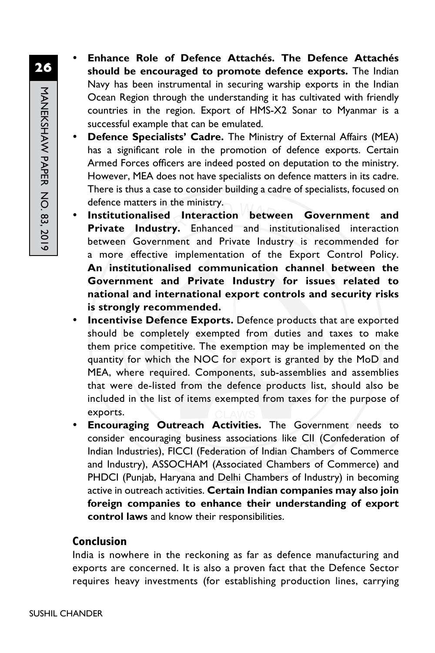y **Enhance Role of Defence Attachés. The Defence Attachés should be encouraged to promote defence exports.** The Indian Navy has been instrumental in securing warship exports in the Indian Ocean Region through the understanding it has cultivated with friendly countries in the region. Export of HMS-X2 Sonar to Myanmar is a successful example that can be emulated.

- Defence Specialists' Cadre. The Ministry of External Affairs (MEA) has a significant role in the promotion of defence exports. Certain Armed Forces officers are indeed posted on deputation to the ministry. However, MEA does not have specialists on defence matters in its cadre. There is thus a case to consider building a cadre of specialists, focused on defence matters in the ministry.
- The matter sim the ministry.<br>
Itutionalised Interaction between Government<br>
ate Industry. Enhanced and institutionalised inte<br>
veen Government and Private Industry is recommend<br>
ore effective implementation of the Export C **Institutionalised Interaction between Government and Private Industry.** Enhanced and institutionalised interaction between Government and Private Industry is recommended for a more effective implementation of the Export Control Policy. **An institutionalised communication channel between the Government and Private Industry for issues related to national and international export controls and security risks is strongly recommended.**
- **CLAWS • Incentivise Defence Exports.** Defence products that are exported should be completely exempted from duties and taxes to make them price competitive. The exemption may be implemented on the quantity for which the NOC for export is granted by the MoD and MEA, where required. Components, sub-assemblies and assemblies that were de-listed from the defence products list, should also be included in the list of items exempted from taxes for the purpose of exports.
- consider encouraging business associations like CII (Confederation of<br>Indian Industries), FICCI (Federation of Indian Chambers of Commerce<br>and Industry), ASSOCHAM (Associated Chambers of Commerce) and **• Encouraging Outreach Activities.** The Government needs to Indian Industries), FICCI (Federation of Indian Chambers of Commerce and Industry), ASSOCHAM (Associated Chambers of Commerce) and PHDCI (Punjab, Haryana and Delhi Chambers of Industry) in becoming active in outreach activities. **Certain Indian companies may also join foreign companies to enhance their understanding of export control laws** and know their responsibilities.

# **Conclusion**

India is nowhere in the reckoning as far as defence manufacturing and exports are concerned. It is also a proven fact that the Defence Sector requires heavy investments (for establishing production lines, carrying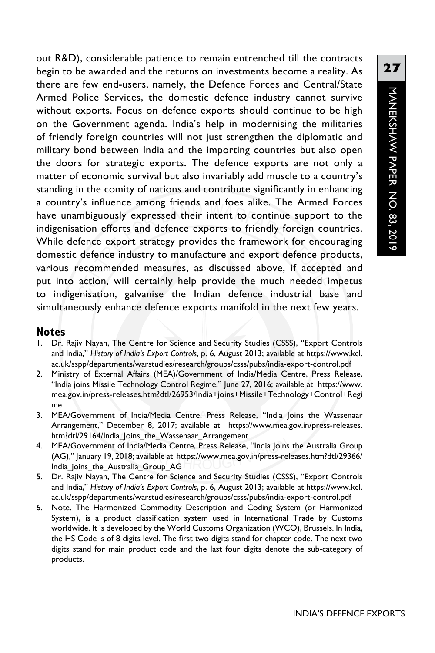The Armence among menus and loes anke. The Armed H<br>mbiguously expressed their intent to continue support t<br>tion efforts and defence exports to friendly foreign cour<br>fence export strategy provides the framework for encour<br>d out R&D), considerable patience to remain entrenched till the contracts begin to be awarded and the returns on investments become a reality. As there are few end-users, namely, the Defence Forces and Central/State Armed Police Services, the domestic defence industry cannot survive without exports. Focus on defence exports should continue to be high on the Government agenda. India's help in modernising the militaries of friendly foreign countries will not just strengthen the diplomatic and military bond between India and the importing countries but also open the doors for strategic exports. The defence exports are not only a matter of economic survival but also invariably add muscle to a country's standing in the comity of nations and contribute significantly in enhancing a country's influence among friends and foes alike. The Armed Forces have unambiguously expressed their intent to continue support to the indigenisation efforts and defence exports to friendly foreign countries. While defence export strategy provides the framework for encouraging domestic defence industry to manufacture and export defence products, various recommended measures, as discussed above, if accepted and put into action, will certainly help provide the much needed impetus to indigenisation, galvanise the Indian defence industrial base and simultaneously enhance defence exports manifold in the next few years.

#### **Notes**

- 1. Dr. Rajiv Nayan, The Centre for Science and Security Studies (CSSS), "Export Controls and India," *History of India's Export Controls*, p. 6, August 2013; available at https://www.kcl. ac.uk/sspp/departments/warstudies/research/groups/csss/pubs/india-export-control.pdf
- 2. Ministry of External Affairs (MEA)/Government of India/Media Centre, Press Release, "India joins Missile Technology Control Regime," June 27, 2016; available at https://www. mea.gov.in/press-releases.htm?dtl/26953/India+joins+Missile+Technology+Control+Regi me
- 3. MEA/Government of India/Media Centre, Press Release, "India Joins the Wassenaar Arrangement," December 8, 2017; available at https://www.mea.gov.in/press-releases. htm?dtl/29164/India\_Joins\_the\_Wassenaar\_Arrangement
- a\_Joins\_the\_Wassenaar\_Arrangement<br>of India/Media Centre, Press Release, "India Joins<br>2018; available at https://www.mea.gov.in/press-re<br>istralia Group AG 4. MEA/Government of India/Media Centre, Press Release, "India Joins the Australia Group (AG)," January 19, 2018; available at https://www.mea.gov.in/press-releases.htm?dtl/29366/ India\_joins\_the\_Australia\_Group\_AG
- 5. Dr. Rajiv Nayan, The Centre for Science and Security Studies (CSSS), "Export Controls and India," *History of India's Export Controls*, p. 6, August 2013; available at https://www.kcl. ac.uk/sspp/departments/warstudies/research/groups/csss/pubs/india-export-control.pdf
- 6. Note. The Harmonized Commodity Description and Coding System (or Harmonized System), is a product classification system used in International Trade by Customs worldwide. It is developed by the World Customs Organization (WCO), Brussels. In India, the HS Code is of 8 digits level. The first two digits stand for chapter code. The next two digits stand for main product code and the last four digits denote the sub-category of products.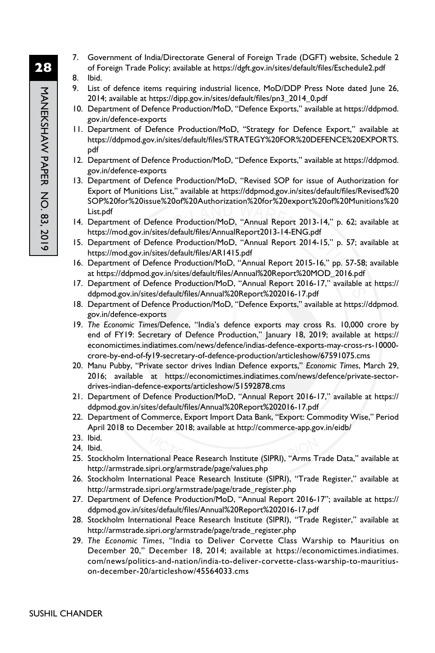7. Government of India/Directorate General of Foreign Trade (DGFT) website, Schedule 2 of Foreign Trade Policy; available at https://dgft.gov.in/sites/default/files/Eschedule2.pdf

#### 8. Ibid.

- 9. List of defence items requiring industrial licence, MoD/DDP Press Note dated June 26, 2014; available at https://dipp.gov.in/sites/default/files/pn3\_2014\_0.pdf
- 10. Department of Defence Production/MoD, "Defence Exports," available at https://ddpmod. gov.in/defence-exports
- 11. Department of Defence Production/MoD, "Strategy for Defence Export," available at https://ddpmod.gov.in/sites/default/files/STRATEGY%20FOR%20DEFENCE%20EXPORTS. pdf
- 12. Department of Defence Production/MoD, "Defence Exports," available at https://ddpmod. gov.in/defence-exports
- 13. Department of Defence Production/MoD, "Revised SOP for issue of Authorization for Export of Munitions List," available at https://ddpmod.gov.in/sites/default/files/Revised%20 SOP%20for%20issue%20of%20Authorization%20for%20export%20of%20Munitions%20 List.pdf
- Figure For Secret Secret Mathematic Figure 1913-14," p. 62; aver the Cefence Production/MoD, "Annual Report 2013-14," p. 62; aver (Impulsives/default/files/AnnualReport2013-14-ENG.pdf<br>
tment of Defence Production/MoD, "Ann 14. Department of Defence Production/MoD, "Annual Report 2013-14," p. 62; available at https://mod.gov.in/sites/default/files/AnnualReport2013-14-ENG.pdf
- 15. Department of Defence Production/MoD, "Annual Report 2014-15," p. 57; available at https://mod.gov.in/sites/default/files/AR1415.pdf
- 16. Department of Defence Production/MoD, "Annual Report 2015-16," pp. 57-58; available at https://ddpmod.gov.in/sites/default/files/Annual%20Report%20MOD\_2016.pdf
- 17. Department of Defence Production/MoD, "Annual Report 2016-17," available at https:// ddpmod.gov.in/sites/default/files/Annual%20Report%202016-17.pdf
- 18. Department of Defence Production/MoD, "Defence Exports," available at https://ddpmod. gov.in/defence-exports
- 19. *The Economic Times*/Defence, "India's defence exports may cross Rs. 10,000 crore by end of FY19: Secretary of Defence Production," January 18, 2019; available at https:// economictimes.indiatimes.com/news/defence/indias-defence-exports-may-cross-rs-10000 crore-by-end-of-fy19-secretary-of-defence-production/articleshow/67591075.cms
- 20. Manu Pubby, "Private sector drives Indian Defence exports," *Economic Times*, March 29, 2016; available at https://economictimes.indiatimes.com/news/defence/private-sectordrives-indian-defence-exports/articleshow/51592878.cms
- 21. Department of Defence Production/MoD, "Annual Report 2016-17," available at https:// ddpmod.gov.in/sites/default/files/Annual%20Report%202016-17.pdf
- 22. Department of Commerce, Export Import Data Bank, "Export: Commodity Wise," Period April 2018 to December 2018; available at http://commerce-app.gov.in/eidb/
- 23. Ibid.
- 24. Ibid.
- 23. Ibid.<br>24. Ibid.<br>25. Stockholm International Peace Research Institute (SIPRI), "Arms Trade Data," available at<br>http://armstrade.sipri.org/armstrade/page/values.php http://armstrade.sipri.org/armstrade/page/values.php
- 26. Stockholm International Peace Research Institute (SIPRI), "Trade Register," available at http://armstrade.sipri.org/armstrade/page/trade\_register.php
- 27. Department of Defence Production/MoD, "Annual Report 2016-17"; available at https:// ddpmod.gov.in/sites/default/files/Annual%20Report%202016-17.pdf
- 28. Stockholm International Peace Research Institute (SIPRI), "Trade Register," available at http://armstrade.sipri.org/armstrade/page/trade\_register.php
- 29. *The Economic Times*, "India to Deliver Corvette Class Warship to Mauritius on December 20," December 18, 2014; available at https://economictimes.indiatimes. com/news/politics-and-nation/india-to-deliver-corvette-class-warship-to-mauritiuson-december-20/articleshow/45564033.cms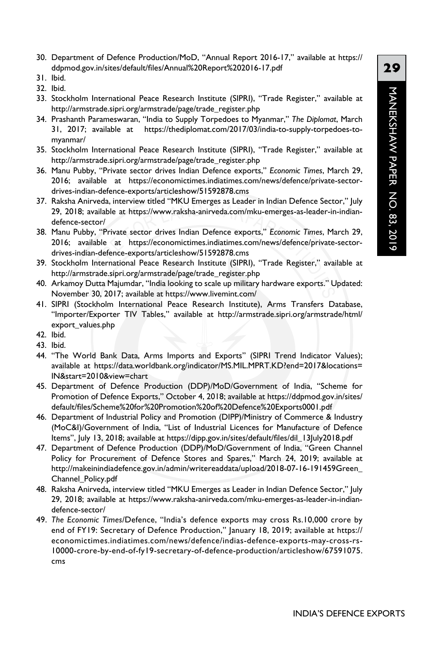- 30. Department of Defence Production/MoD, "Annual Report 2016-17," available at https:// ddpmod.gov.in/sites/default/files/Annual%20Report%202016-17.pdf
- 31. Ibid.
- 32. Ibid.
- 33. Stockholm International Peace Research Institute (SIPRI), "Trade Register," available at http://armstrade.sipri.org/armstrade/page/trade\_register.php
- 34. Prashanth Parameswaran, "India to Supply Torpedoes to Myanmar," *The Diplomat*, March 31, 2017; available at https://thediplomat.com/2017/03/india-to-supply-torpedoes-tomyanmar/
- 35. Stockholm International Peace Research Institute (SIPRI), "Trade Register," available at http://armstrade.sipri.org/armstrade/page/trade\_register.php
- 36. Manu Pubby, "Private sector drives Indian Defence exports," *Economic Times*, March 29, 2016; available at https://economictimes.indiatimes.com/news/defence/private-sectordrives-indian-defence-exports/articleshow/51592878.cms
- 37. Raksha Anirveda, interview titled "MKU Emerges as Leader in Indian Defence Sector," July 29, 2018; available at https://www.raksha-anirveda.com/mku-emerges-as-leader-in-indiandefence-sector/
- Sexualiable at https://www.raksha-anirveda.com/mku-emerges-as-leader-in<br>8; available at https://www.raksha-anirveda.com/mku-emerges-as-leader-in-<br>-sector/<br>ubby, "Private sector drives Indian Defence exports," *Economic Tim* 38. Manu Pubby, "Private sector drives Indian Defence exports," *Economic Times*, March 29, 2016; available at https://economictimes.indiatimes.com/news/defence/private-sectordrives-indian-defence-exports/articleshow/51592878.cms
- 39. Stockholm International Peace Research Institute (SIPRI), "Trade Register," available at http://armstrade.sipri.org/armstrade/page/trade\_register.php
- 40. Arkamoy Dutta Majumdar, "India looking to scale up military hardware exports." Updated: November 30, 2017; available at https://www.livemint.com/
- 41. SIPRI (Stockholm International Peace Research Institute), Arms Transfers Database, "Importer/Exporter TIV Tables," available at http://armstrade.sipri.org/armstrade/html/ export\_values.php
- 42. Ibid.
- 43. Ibid.
- 44. "The World Bank Data, Arms Imports and Exports" (SIPRI Trend Indicator Values); available at https://data.worldbank.org/indicator/MS.MIL.MPRT.KD?end=2017&locations= IN&start=2010&view=chart
- 45. Department of Defence Production (DDP)/MoD/Government of India, "Scheme for Promotion of Defence Exports," October 4, 2018; available at https://ddpmod.gov.in/sites/ default/files/Scheme%20for%20Promotion%20of%20Defence%20Exports0001.pdf
- 46. Department of Industrial Policy and Promotion (DIPP)/Ministry of Commerce & Industry (MoC&I)/Government of India, "List of Industrial Licences for Manufacture of Defence
- Items", July 13, 2018; available at https://dipp.gov.in/sites/default/files/dil\_13July2018.pdf<br>Department of Defence Production (DDP)/MoD/Government of India, "Green Chan<br>Policy for Procurement of Defence Stores and Spares 47. Department of Defence Production (DDP)/MoD/Government of India, "Green Channel Policy for Procurement of Defence Stores and Spares," March 24, 2019; available at http://makeinindiadefence.gov.in/admin/writereaddata/upload/2018-07-16-191459Green\_ Channel\_Policy.pdf
- 48. Raksha Anirveda, interview titled "MKU Emerges as Leader in Indian Defence Sector," July 29, 2018; available at https://www.raksha-anirveda.com/mku-emerges-as-leader-in-indiandefence-sector/
- 49. *The Economic Times*/Defence, "India's defence exports may cross Rs.10,000 crore by end of FY19: Secretary of Defence Production," January 18, 2019; available at https:// economictimes.indiatimes.com/news/defence/indias-defence-exports-may-cross-rs-10000-crore-by-end-of-fy19-secretary-of-defence-production/articleshow/67591075. cms